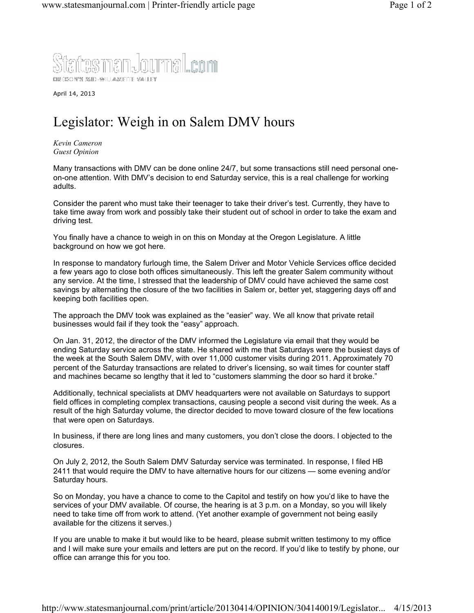

April 14, 2013

## Legislator: Weigh in on Salem DMV hours

*Kevin Cameron Guest Opinion*

Many transactions with DMV can be done online 24/7, but some transactions still need personal oneon-one attention. With DMV's decision to end Saturday service, this is a real challenge for working adults.

Consider the parent who must take their teenager to take their driver's test. Currently, they have to take time away from work and possibly take their student out of school in order to take the exam and driving test.

You finally have a chance to weigh in on this on Monday at the Oregon Legislature. A little background on how we got here.

In response to mandatory furlough time, the Salem Driver and Motor Vehicle Services office decided a few years ago to close both offices simultaneously. This left the greater Salem community without any service. At the time, I stressed that the leadership of DMV could have achieved the same cost savings by alternating the closure of the two facilities in Salem or, better yet, staggering days off and keeping both facilities open.

The approach the DMV took was explained as the "easier" way. We all know that private retail businesses would fail if they took the "easy" approach.

On Jan. 31, 2012, the director of the DMV informed the Legislature via email that they would be ending Saturday service across the state. He shared with me that Saturdays were the busiest days of the week at the South Salem DMV, with over 11,000 customer visits during 2011. Approximately 70 percent of the Saturday transactions are related to driver's licensing, so wait times for counter staff and machines became so lengthy that it led to "customers slamming the door so hard it broke."

Additionally, technical specialists at DMV headquarters were not available on Saturdays to support field offices in completing complex transactions, causing people a second visit during the week. As a result of the high Saturday volume, the director decided to move toward closure of the few locations that were open on Saturdays.

In business, if there are long lines and many customers, you don't close the doors. I objected to the closures.

On July 2, 2012, the South Salem DMV Saturday service was terminated. In response, I filed HB 2411 that would require the DMV to have alternative hours for our citizens — some evening and/or Saturday hours.

So on Monday, you have a chance to come to the Capitol and testify on how you'd like to have the services of your DMV available. Of course, the hearing is at 3 p.m. on a Monday, so you will likely need to take time off from work to attend. (Yet another example of government not being easily available for the citizens it serves.)

If you are unable to make it but would like to be heard, please submit written testimony to my office and I will make sure your emails and letters are put on the record. If you'd like to testify by phone, our office can arrange this for you too.